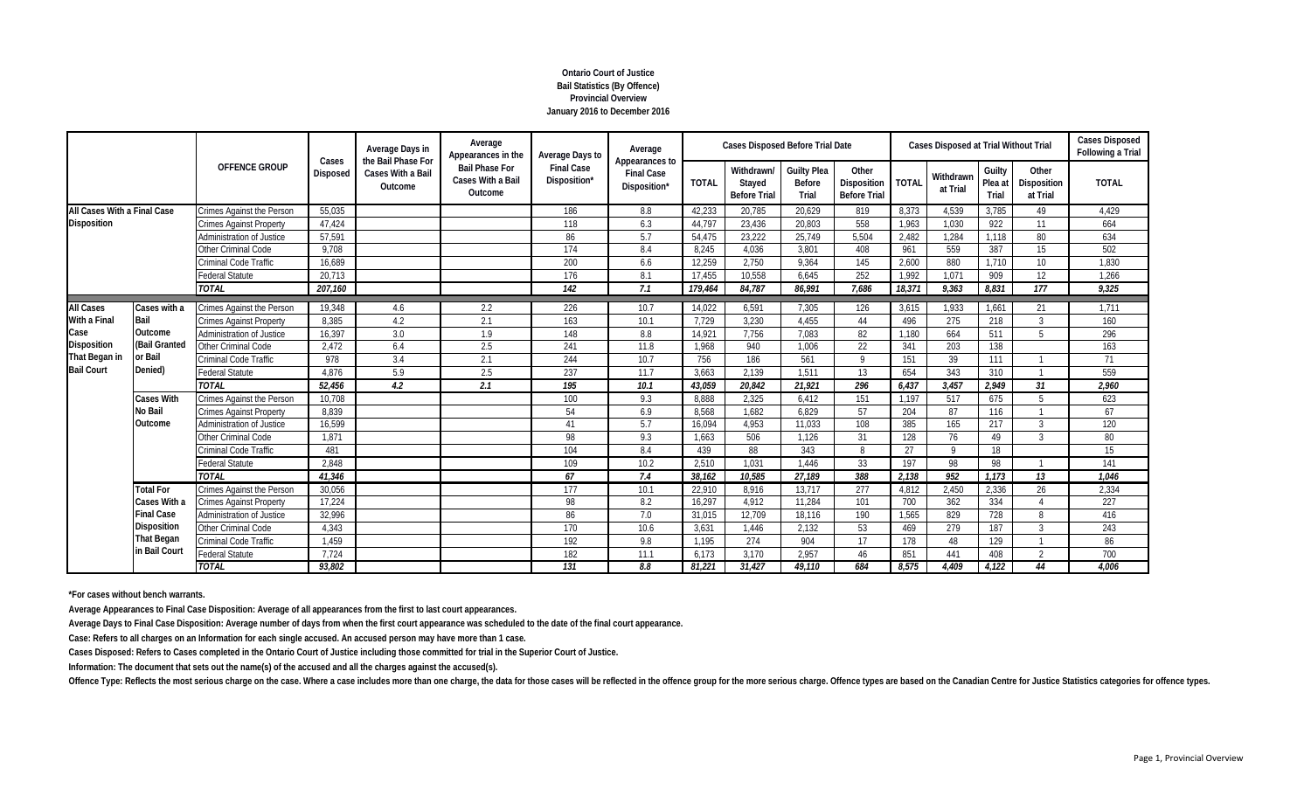# **Ontario Court of Justice Bail Statistics (By Offence) Provincial Overview January 2016 to December 2016**

|                             |                                    | <b>OFFENCE GROUP</b>             | Cases           | Average Days in<br>the Bail Phase For | Average<br>Appearances in the                         | Average Days to                   | Average                                             |              | <b>Cases Disposed Before Trial Date</b>     |                                       |                                             |              | Cases Disposed at Trial Without Trial |                            |                                         | <b>Cases Disposed</b><br>Following a Trial |
|-----------------------------|------------------------------------|----------------------------------|-----------------|---------------------------------------|-------------------------------------------------------|-----------------------------------|-----------------------------------------------------|--------------|---------------------------------------------|---------------------------------------|---------------------------------------------|--------------|---------------------------------------|----------------------------|-----------------------------------------|--------------------------------------------|
|                             |                                    |                                  | <b>Disposed</b> | Cases With a Bail<br>Outcome          | <b>Bail Phase For</b><br>Cases With a Bail<br>Outcome | <b>Final Case</b><br>Disposition* | Appearances to<br><b>Final Case</b><br>Disposition* | <b>TOTAL</b> | Withdrawn/<br>Stayed<br><b>Before Trial</b> | <b>Guilty Plea</b><br>Before<br>Trial | Other<br>Disposition<br><b>Before Trial</b> | <b>TOTAL</b> | Withdrawn<br>at Trial                 | Guilty<br>Plea at<br>Trial | Other<br><b>Disposition</b><br>at Trial | <b>TOTAL</b>                               |
| All Cases With a Final Case |                                    | <b>Crimes Against the Person</b> | 55,035          |                                       |                                                       | 186                               | 8.8                                                 | 42.233       | 20.785                                      | 20.629                                | 819                                         | 8.373        | 4,539                                 | 3,785                      | 49                                      | 4,429                                      |
| <b>Disposition</b>          |                                    | <b>Crimes Against Property</b>   | 47.424          |                                       |                                                       | 118                               | 6.3                                                 | 44.797       | 23.436                                      | 20.803                                | 558                                         | 1.963        | 1.030                                 | 922                        | 11                                      | 664                                        |
|                             |                                    | Administration of Justice        | 57,591          |                                       |                                                       | 86                                | 5.7                                                 | 54.475       | 23,222                                      | 25,749                                | 5,504                                       | 2,482        | 1,284                                 | 1.118                      | 80                                      | 634                                        |
|                             |                                    | <b>Other Criminal Code</b>       | 9,708           |                                       |                                                       | 174                               | 8.4                                                 | 8.245        | 4.036                                       | 3.801                                 | 408                                         | 961          | 559                                   | 387                        | 15                                      | 502                                        |
|                             |                                    | Criminal Code Traffic            | 16,689          |                                       |                                                       | 200                               | 6.6                                                 | 12,259       | 2,750                                       | 9,364                                 | 145                                         | 2,600        | 880                                   | 1,710                      | 10                                      | 1,830                                      |
|                             |                                    | Federal Statute                  | 20.713          |                                       |                                                       | 176                               | 8.1                                                 | 17.455       | 10.558                                      | 6.645                                 | 252                                         | 1.992        | 1,071                                 | 909                        | 12                                      | 1.266                                      |
|                             |                                    | <b>TOTAL</b>                     | 207,160         |                                       |                                                       | 142                               | 7.1                                                 | 179,464      | 84,787                                      | 86,991                                | 7.686                                       | 18,371       | 9,363                                 | 8,831                      | $\overline{177}$                        | 9,325                                      |
| <b>All Cases</b>            | Cases with a                       | <b>Crimes Against the Person</b> | 19,348          | 4.6                                   | 2.2                                                   | 226                               | 10.7                                                | 14,022       | 6,591                                       | 7,305                                 | 126                                         | 3,615        | 1,933                                 | 1,661                      | 21                                      | 1,711                                      |
| With a Final                | Bail                               | <b>Crimes Against Property</b>   | 8.385           | 4.2                                   | 2.1                                                   | 163                               | 10.1                                                | 7.729        | 3.230                                       | 4.455                                 | 44                                          | 496          | 275                                   | 218                        | 3                                       | 160                                        |
| Case                        | Outcome                            | Administration of Justice        | 16,397          | 3.0                                   | 1.9                                                   | 148                               | 8.8                                                 | 14,921       | 7,756                                       | 7,083                                 | 82                                          | 1.180        | 664                                   | 511                        | 5                                       | 296                                        |
| Disposition                 | (Bail Granted                      | Other Criminal Code              | 2,472           | 6.4                                   | 2.5                                                   | 241                               | 11.8                                                | 1.968        | 940                                         | 1.006                                 | 22                                          | 341          | 203                                   | 138                        |                                         | 163                                        |
| That Began in               | or Bail                            | Criminal Code Traffic            | 978             | 3.4                                   | 2.1                                                   | 244                               | 10.7                                                | 756          | 186                                         | 561                                   | $\mathsf Q$                                 | 151          | 39                                    | 111                        |                                         | 71                                         |
| <b>Bail Court</b>           | Denied)                            | <b>Federal Statute</b>           | 4,876           | 5.9                                   | 2.5                                                   | 237                               | 11.7                                                | 3.663        | 2.139                                       | 1.511                                 | 13                                          | 654          | 343                                   | 310                        |                                         | 559                                        |
|                             |                                    | <b>TOTAL</b>                     | 52,456          | 4.2                                   | 2.1                                                   | 195                               | 10.1                                                | 43,059       | 20,842                                      | 21,921                                | 296                                         | 6,437        | 3,457                                 | 2,949                      | 31                                      | 2,960                                      |
|                             | <b>Cases With</b>                  | <b>Crimes Against the Person</b> | 10,708          |                                       |                                                       | 100                               | 9.3                                                 | 8.888        | 2,325                                       | 6,412                                 | 151                                         | 1,197        | 517                                   | 675                        | -5                                      | 623                                        |
|                             | No Bail                            | <b>Crimes Against Property</b>   | 8,839           |                                       |                                                       | 54                                | 6.9                                                 | 8,568        | 1,682                                       | 6,829                                 | 57                                          | 204          | 87                                    | 116                        |                                         | 67                                         |
|                             | Outcome                            | Administration of Justice        | 16,599          |                                       |                                                       | 41                                | 5.7                                                 | 16,094       | 4,953                                       | 11.033                                | 108                                         | 385          | 165                                   | 217                        | $\mathbf{3}$                            | 120                                        |
|                             |                                    | Other Criminal Code              | 1,871           |                                       |                                                       | 98                                | 9.3                                                 | 1.663        | 506                                         | 1.126                                 | 31                                          | 128          | 76                                    | 49                         | $\mathcal{R}$                           | 80                                         |
|                             |                                    | Criminal Code Traffic            | 481             |                                       |                                                       | 104                               | 8.4                                                 | 439          | 88                                          | 343                                   | 8                                           | 27           | $\mathsf Q$                           | 18                         |                                         | 15                                         |
|                             |                                    | <b>Federal Statute</b>           | 2.848           |                                       |                                                       | 109                               | 10.2                                                | 2.510        | 1.031                                       | 1.446                                 | 33                                          | 197          | 98                                    | 98                         |                                         | 141                                        |
|                             |                                    | <b>TOTAL</b>                     | 41,346          |                                       |                                                       | 67                                | 7.4                                                 | 38.162       | 10,585                                      | 27.189                                | 388                                         | 2,138        | 952                                   | 1.173                      | 13                                      | 1.046                                      |
|                             | <b>Total For</b>                   | Crimes Against the Person        | 30,056          |                                       |                                                       | 177                               | 10.1                                                | 22,910       | 8,916                                       | 13,717                                | 277                                         | 4,812        | 2,450                                 | 2,336                      | 26                                      | 2,334                                      |
|                             | Cases With a                       | Crimes Against Property          | 17,224          |                                       |                                                       | 98                                | 8.2                                                 | 16,297       | 4,912                                       | 11.284                                | 101                                         | 700          | 362                                   | 334                        | $\Delta$                                | 227                                        |
|                             | <b>Final Case</b>                  | Administration of Justice        | 32,996          |                                       |                                                       | 86                                | 7.0                                                 | 31.015       | 12.709                                      | 18.116                                | 190                                         | 1.565        | 829                                   | 728                        | 8                                       | 416                                        |
|                             | <b>Disposition</b>                 | Other Criminal Code              | 4,343           |                                       |                                                       | 170                               | 10.6                                                | 3,631        | 1,446                                       | 2,132                                 | 53                                          | 469          | 279                                   | 187                        | $\mathcal{R}$                           | 243                                        |
|                             | <b>That Began</b><br>in Bail Court | Criminal Code Traffic            | 1,459           |                                       |                                                       | 192                               | 9.8                                                 | 1.195        | 274                                         | 904                                   | 17                                          | 178          | 48                                    | 129                        |                                         | 86                                         |
|                             |                                    | Federal Statute                  | 7.724           |                                       |                                                       | 182                               | 11.1                                                | 6.173        | 3.170                                       | 2.957                                 | 46                                          | 851          | 441                                   | 408                        | $\mathcal{L}$                           | 700                                        |
|                             |                                    | <b>TOTAL</b>                     | 93,802          |                                       |                                                       | 131                               | 8.8                                                 | 81.221       | 31.427                                      | 49.110                                | 684                                         | 8,575        | 4.409                                 | 4,122                      | 44                                      | 4.006                                      |

**\*For cases without bench warrants.**

**Average Appearances to Final Case Disposition: Average of all appearances from the first to last court appearances.**

**Average Days to Final Case Disposition: Average number of days from when the first court appearance was scheduled to the date of the final court appearance.**

**Case: Refers to all charges on an Information for each single accused. An accused person may have more than 1 case.**

**Cases Disposed: Refers to Cases completed in the Ontario Court of Justice including those committed for trial in the Superior Court of Justice.**

**Information: The document that sets out the name(s) of the accused and all the charges against the accused(s).**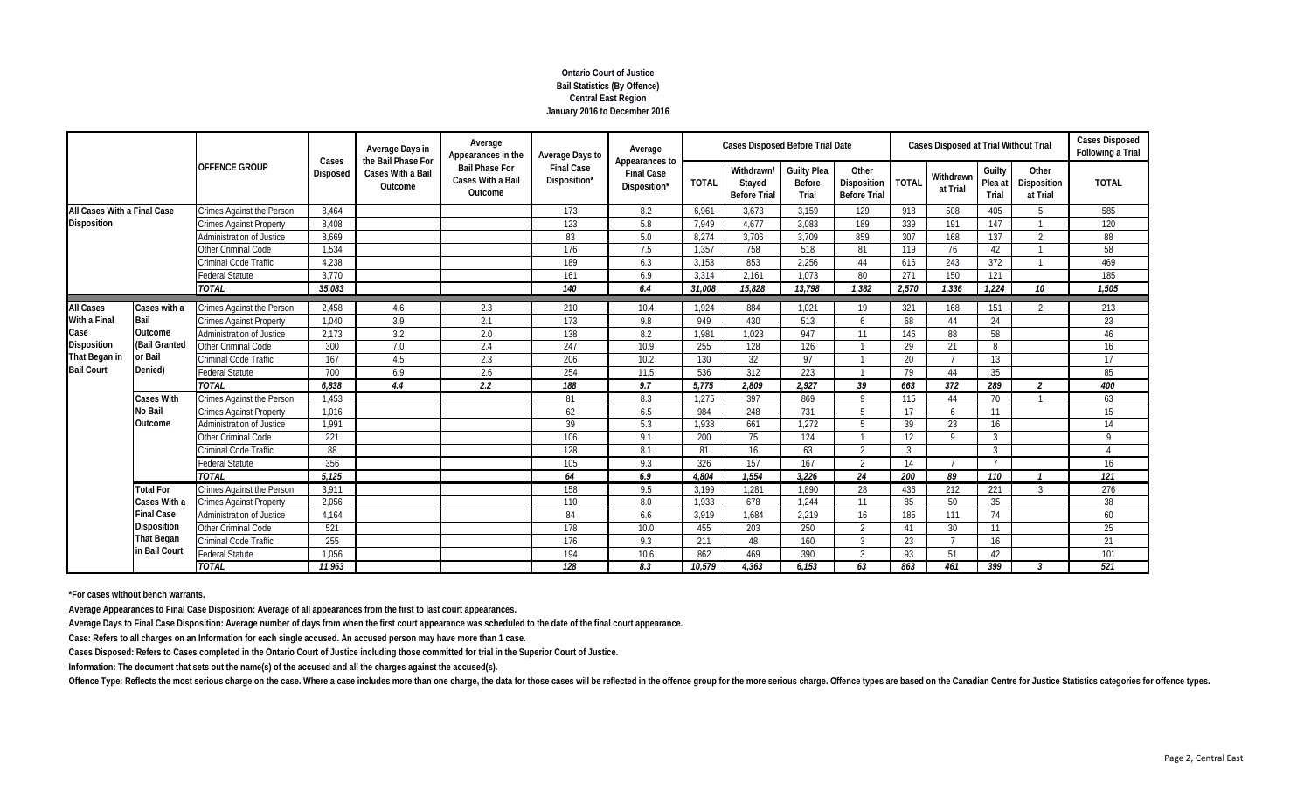# **Ontario Court of Justice Bail Statistics (By Offence) Central East Region January 2016 to December 2016**

|                                                          |                                     |                                  | Cases           | Average Days in<br>the Bail Phase For | Average<br>Appearances in the                         | Average Days to                   | Average                                             |              | <b>Cases Disposed Before Trial Date</b>     |                                       |                                                     |       | <b>Cases Disposed at Trial Without Trial</b> |                            |                                  | <b>Cases Disposed</b><br>Following a Trial |
|----------------------------------------------------------|-------------------------------------|----------------------------------|-----------------|---------------------------------------|-------------------------------------------------------|-----------------------------------|-----------------------------------------------------|--------------|---------------------------------------------|---------------------------------------|-----------------------------------------------------|-------|----------------------------------------------|----------------------------|----------------------------------|--------------------------------------------|
|                                                          |                                     | <b>OFFENCE GROUP</b>             | <b>Disposed</b> | Cases With a Bail<br>Outcome          | <b>Bail Phase For</b><br>Cases With a Bail<br>Outcome | <b>Final Case</b><br>Disposition* | Appearances to<br><b>Final Case</b><br>Disposition* | <b>TOTAL</b> | Withdrawn/<br>Stayed<br><b>Before Trial</b> | <b>Guilty Plea</b><br>Before<br>Trial | Other<br>Disposition   TOTAL<br><b>Before Trial</b> |       | Withdrawn<br>at Trial                        | Guilty<br>Plea at<br>Trial | Other<br>Disposition<br>at Trial | <b>TOTAL</b>                               |
| All Cases With a Final Case                              |                                     | <b>Crimes Against the Person</b> | 8.464           |                                       |                                                       | 173                               | 8.2                                                 | 6.961        | 3.673                                       | 3.159                                 | 129                                                 | 918   | 508                                          | 405                        | -5                               | 585                                        |
| <b>Disposition</b>                                       |                                     | <b>Crimes Against Property</b>   | 8,408           |                                       |                                                       | 123                               | 5.8                                                 | 7.949        | 4,677                                       | 3,083                                 | 189                                                 | 339   | 191                                          | 147                        |                                  | 120                                        |
|                                                          |                                     | Administration of Justice        | 8,669           |                                       |                                                       | 83                                | 5.0                                                 | 8.274        | 3.706                                       | 3,709                                 | 859                                                 | 307   | 168                                          | 137                        | $\Omega$                         | 88                                         |
|                                                          |                                     | Other Criminal Code              | 1,534           |                                       |                                                       | 176                               | 7.5                                                 | 1.357        | 758                                         | 518                                   | 81                                                  | 119   | 76                                           | 42                         |                                  | 58                                         |
|                                                          |                                     | Criminal Code Traffic            | 4,238           |                                       |                                                       | 189                               | 6.3                                                 | 3.153        | 853                                         | 2,256                                 | 44                                                  | 616   | 243                                          | 372                        |                                  | 469                                        |
|                                                          |                                     | <b>Federal Statute</b>           | 3,770           |                                       |                                                       | 161                               | 6.9                                                 | 3.314        | 2.161                                       | 1.073                                 | 80                                                  | 271   | 150                                          | 121                        |                                  | 185                                        |
|                                                          |                                     | <b>TOTAL</b>                     | 35,083          |                                       |                                                       | 140                               | 6.4                                                 | 31,008       | 15,828                                      | 13,798                                | 1,382                                               | 2,570 | 1,336                                        | 1,224                      | 10                               | 1,505                                      |
| <b>All Cases</b>                                         | Cases with a                        | Crimes Against the Person        | 2,458           | 4.6                                   | 2.3                                                   | 210                               | 10.4                                                | 1.924        | 884                                         | 1,021                                 | 19                                                  | 321   | 168                                          | 151                        | $\mathcal{D}$                    | 213                                        |
| With a Final                                             | Bail                                | <b>Crimes Against Property</b>   | 1,040           | 3.9                                   | 2.1                                                   | 173                               | 9.8                                                 | 949          | 430                                         | 513                                   | 6                                                   | 68    | 44                                           | 24                         |                                  | 23                                         |
| Case                                                     | Outcome                             | <b>Administration of Justice</b> | 2,173           | 3.2                                   | 2.0                                                   | 138                               | 8.2                                                 | 1.981        | 1,023                                       | 947                                   | 11                                                  | 146   | 88                                           | 58                         |                                  | 46                                         |
| <b>Disposition</b><br>That Began in<br><b>Bail Court</b> | (Bail Granted<br>or Bail<br>Denied) | Other Criminal Code              | 300             | 7.0                                   | 2.4                                                   | 247                               | 10.9                                                | 255          | 128                                         | 126                                   |                                                     | 29    | 21                                           | 8                          |                                  | 16                                         |
|                                                          |                                     | Criminal Code Traffic            | 167             | 4.5                                   | 2.3                                                   | 206                               | 10.2                                                | 130          | 32                                          | 97                                    |                                                     | 20    |                                              | 13                         |                                  | 17                                         |
|                                                          |                                     | <b>Federal Statute</b>           | 700             | 6.9                                   | 2.6                                                   | 254                               | 11.5                                                | 536          | 312                                         | 223                                   |                                                     | 79    | 44                                           | 35                         |                                  | 85                                         |
|                                                          |                                     | <b>TOTAL</b>                     | 6,838           | 4.4                                   | 2.2                                                   | 188                               | 9.7                                                 | 5.775        | 2.809                                       | 2,927                                 | 39                                                  | 663   | 372                                          | 289                        | $\overline{2}$                   | 400                                        |
|                                                          | <b>Cases With</b>                   | <b>Crimes Against the Person</b> | 1,453           |                                       |                                                       | 81                                | 8.3                                                 | 1.275        | 397                                         | 869                                   | $\mathsf Q$                                         | 115   | 44                                           | 70                         |                                  | 63                                         |
|                                                          | <b>No Bail</b>                      | <b>Crimes Against Property</b>   | 1,016           |                                       |                                                       | 62                                | 6.5                                                 | 984          | 248                                         | 731                                   | Б.                                                  | 17    | 6                                            | 11                         |                                  | 15                                         |
|                                                          | Outcome                             | <b>Administration of Justice</b> | 1,991           |                                       |                                                       | 39                                | 5.3                                                 | 1.938        | 661                                         | 1.272                                 | 5 <sup>1</sup>                                      | 39    | 23                                           | 16                         |                                  | 14                                         |
|                                                          |                                     | <b>Other Criminal Code</b>       | 221             |                                       |                                                       | 106                               | 9.1                                                 | 200          | 75                                          | 124                                   |                                                     | 12    | $\Omega$                                     | 3                          |                                  | $\mathsf{Q}$                               |
|                                                          |                                     | Criminal Code Traffic            | 88              |                                       |                                                       | 128                               | 8.1                                                 | 81           | 16                                          | 63                                    | $\gamma$                                            | 3     |                                              | 3                          |                                  |                                            |
|                                                          |                                     | <b>Federal Statute</b>           | 356             |                                       |                                                       | 105                               | 9.3                                                 | 326          | 157                                         | 167                                   | $\mathfrak{D}$                                      | 14    |                                              |                            |                                  | 16                                         |
|                                                          |                                     | <b>TOTAL</b>                     | 5.125           |                                       |                                                       | 64                                | 6.9                                                 | 4.804        | 1.554                                       | 3.226                                 | 24                                                  | 200   | 89                                           | 110                        |                                  | 121                                        |
|                                                          | <b>Total For</b>                    | Crimes Against the Person        | 3,911           |                                       |                                                       | 158                               | 9.5                                                 | 3,199        | 1,281                                       | 1,890                                 | 28                                                  | 436   | 212                                          | 221                        | -3                               | 276                                        |
|                                                          | Cases With a                        | <b>Crimes Against Property</b>   | 2,056           |                                       |                                                       | 110                               | 8.0                                                 | 1,933        | 678                                         | 1,244                                 | 11                                                  | 85    | 50                                           | 35                         |                                  | 38                                         |
|                                                          | <b>Final Case</b>                   | Administration of Justice        | 4,164           |                                       |                                                       | 84                                | 6.6                                                 | 3,919        | 1,684                                       | 2,219                                 | 16                                                  | 185   | 111                                          | 74                         |                                  | 60                                         |
|                                                          | <b>Disposition</b>                  | Other Criminal Code              | 521             |                                       |                                                       | 178                               | 10.0                                                | 455          | 203                                         | 250                                   | $\overline{2}$                                      | 41    | 30                                           | 11                         |                                  | 25                                         |
|                                                          | <b>That Began</b>                   | Criminal Code Traffic            | 255             |                                       |                                                       | 176                               | 9.3                                                 | 211          | 48                                          | 160                                   | 3                                                   | 23    |                                              | 16                         |                                  | 21                                         |
|                                                          | in Bail Court                       | Federal Statute                  | 1,056           |                                       |                                                       | 194                               | 10.6                                                | 862          | 469                                         | 390                                   | $\mathcal{R}$                                       | 93    | 51                                           | 42                         |                                  | 101                                        |
|                                                          |                                     | <b>TOTAL</b>                     | 11,963          |                                       |                                                       | 128                               | 8.3                                                 | 10.579       | 4.363                                       | 6.153                                 | 63                                                  | 863   | 461                                          | 399                        | $\mathbf{3}$                     | $\overline{521}$                           |

**\*For cases without bench warrants.**

**Average Appearances to Final Case Disposition: Average of all appearances from the first to last court appearances.**

**Average Days to Final Case Disposition: Average number of days from when the first court appearance was scheduled to the date of the final court appearance.**

**Case: Refers to all charges on an Information for each single accused. An accused person may have more than 1 case.**

**Cases Disposed: Refers to Cases completed in the Ontario Court of Justice including those committed for trial in the Superior Court of Justice.**

**Information: The document that sets out the name(s) of the accused and all the charges against the accused(s).**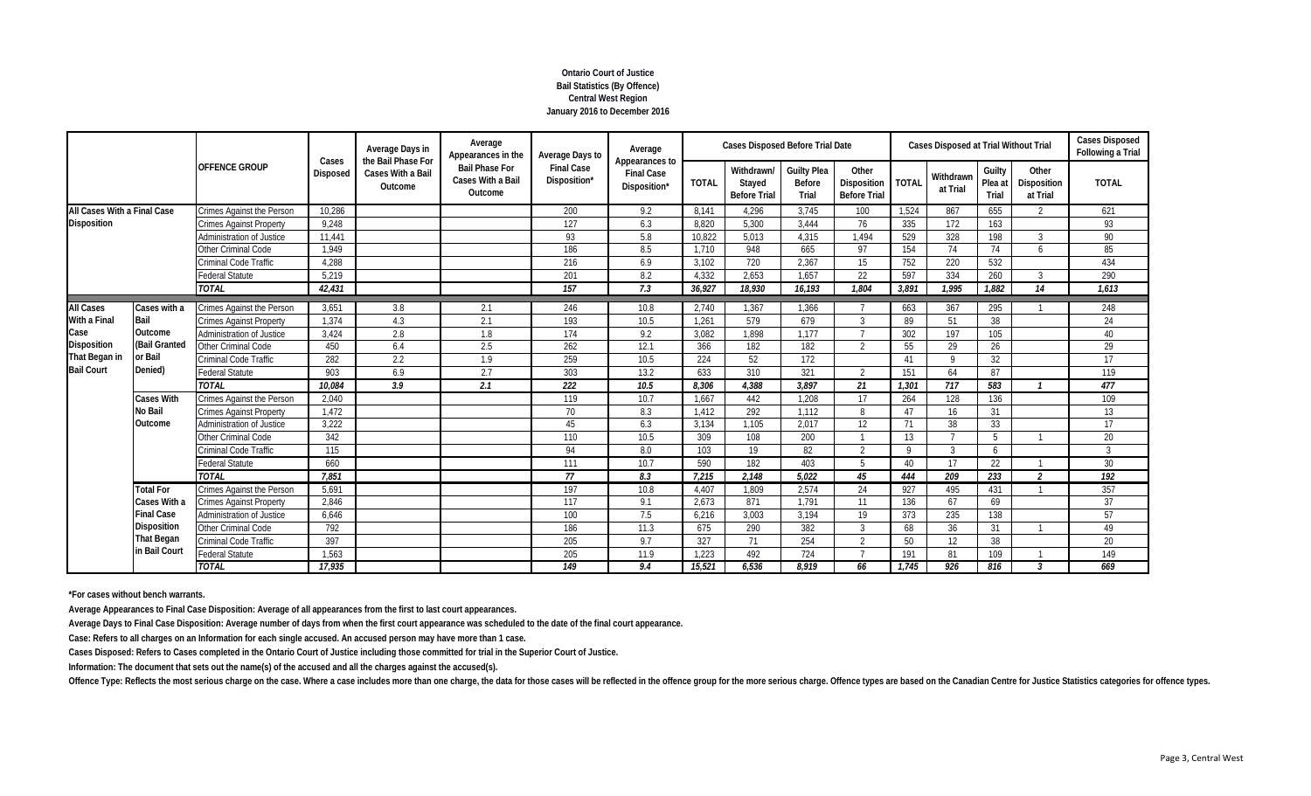# **Ontario Court of Justice Bail Statistics (By Offence) Central West Region January 2016 to December 2016**

|                             |                   |                                  |                          | Average Days in                                    | Average<br>Appearances in the                         | Average Days to                   | Average                                             |              | <b>Cases Disposed Before Trial Date</b>     |                                       |                                             |              | <b>Cases Disposed at Trial Without Trial</b> |                            |                                  | <b>Cases Disposed</b><br>Following a Trial |
|-----------------------------|-------------------|----------------------------------|--------------------------|----------------------------------------------------|-------------------------------------------------------|-----------------------------------|-----------------------------------------------------|--------------|---------------------------------------------|---------------------------------------|---------------------------------------------|--------------|----------------------------------------------|----------------------------|----------------------------------|--------------------------------------------|
|                             |                   | <b>OFFENCE GROUP</b>             | Cases<br><b>Disposed</b> | the Bail Phase For<br>Cases With a Bail<br>Outcome | <b>Bail Phase For</b><br>Cases With a Bail<br>Outcome | <b>Final Case</b><br>Disposition* | Appearances to<br><b>Final Case</b><br>Disposition* | <b>TOTAL</b> | Withdrawn/<br>Stayed<br><b>Before Trial</b> | <b>Guilty Plea</b><br>Before<br>Trial | Other<br>Disposition<br><b>Before Trial</b> | <b>TOTAL</b> | Withdrawn<br>at Trial                        | Guilty<br>Plea at<br>Trial | Other<br>Disposition<br>at Trial | <b>TOTAL</b>                               |
| All Cases With a Final Case |                   | Crimes Against the Person        | 10,286                   |                                                    |                                                       | 200                               | 9.2                                                 | 8.141        | 4,296                                       | 3,745                                 | 100                                         | 1,524        | 867                                          | 655                        | $\overline{2}$                   | 621                                        |
| <b>Disposition</b>          |                   | <b>Crimes Against Property</b>   | 9,248                    |                                                    |                                                       | 127                               | 6.3                                                 | 8,820        | 5,300                                       | 3.444                                 | 76                                          | 335          | 172                                          | 163                        |                                  | 93                                         |
|                             |                   | Administration of Justice        | 11,441                   |                                                    |                                                       | 93                                | 5.8                                                 | 10,822       | 5.013                                       | 4,315                                 | 1.494                                       | 529          | 328                                          | 198                        | 3                                | 90                                         |
|                             |                   | Other Criminal Code              | 1,949                    |                                                    |                                                       | 186                               | 8.5                                                 | 1,710        | 948                                         | 665                                   | 97                                          | 154          | 74                                           | 74                         | $\mathbf{6}$                     | 85                                         |
|                             |                   | Criminal Code Traffic            | 4,288                    |                                                    |                                                       | 216                               | 6.9                                                 | 3.102        | 720                                         | 2,367                                 | 15                                          | 752          | 220                                          | 532                        |                                  | 434                                        |
|                             |                   | <b>Federal Statute</b>           | 5,219                    |                                                    |                                                       | 201                               | 8.2                                                 | 4.332        | 2.653                                       | 1.657                                 | 22                                          | 597          | 334                                          | 260                        | 3                                | 290                                        |
|                             |                   | <b>TOTAL</b>                     | 42.431                   |                                                    |                                                       | 157                               | 7.3                                                 | 36,927       | 18,930                                      | 16.193                                | 1.804                                       | 3,891        | 1.995                                        | 1.882                      | 14                               | 1.613                                      |
| <b>All Cases</b>            | Cases with a      | Crimes Against the Person        | 3,651                    | 3.8                                                | 2.1                                                   | 246                               | 10.8                                                | 2,740        | 1,367                                       | 1,366                                 |                                             | 663          | 367                                          | 295                        |                                  | 248                                        |
| With a Final                | Bail              | <b>Crimes Against Property</b>   | 1,374                    | 4.3                                                | 2.1                                                   | 193                               | 10.5                                                | 1,261        | 579                                         | 679                                   | $\mathcal{S}$                               | 89           | 51                                           | 38                         |                                  | 24                                         |
| Case                        | Outcome           | <b>Administration of Justice</b> | 3,424                    | 2.8                                                | 1.8                                                   | 174                               | 9.2                                                 | 3.082        | 1.898                                       | 1.177                                 |                                             | 302          | 197                                          | 105                        |                                  | 40                                         |
| Disposition                 | (Bail Granted     | Other Criminal Code              | 450                      | 6.4                                                | 2.5                                                   | 262                               | 12.1                                                | 366          | 182                                         | 182                                   | $\gamma$                                    | 55           | 29                                           | 26                         |                                  | 29                                         |
| That Began in               | or Bail           | Criminal Code Traffic            | 282                      | 2.2                                                | 1.9                                                   | 259                               | 10.5                                                | 224          | 52                                          | 172                                   |                                             | 41           | $\mathsf{Q}$                                 | 32                         |                                  | $\overline{17}$                            |
| <b>Bail Court</b>           | Denied)           | <b>Federal Statute</b>           | 903                      | 6.9                                                | 2.7                                                   | 303                               | 13.2                                                | 633          | 310                                         | 321                                   | $\mathfrak{D}$                              | 151          | 64                                           | 87                         |                                  | 119                                        |
|                             |                   | <b>TOTAL</b>                     | 10.084                   | $\overline{3.9}$                                   | 2.1                                                   | $\overline{222}$                  | 10.5                                                | 8.306        | 4.388                                       | 3.897                                 | 21                                          | 1.301        | 717                                          | 583                        | - 1                              | 477                                        |
|                             | Cases With        | <b>Crimes Against the Person</b> | 2,040                    |                                                    |                                                       | 119                               | 10.7                                                | 1,667        | 442                                         | 1,208                                 | 17                                          | 264          | 128                                          | 136                        |                                  | 109                                        |
|                             | No Bail           | <b>Crimes Against Property</b>   | 1.472                    |                                                    |                                                       | 70                                | 8.3                                                 | 1.412        | 292                                         | 1.112                                 | 8                                           | 47           | 16                                           | 31                         |                                  | 13                                         |
|                             | Outcome           | <b>Administration of Justice</b> | 3,222                    |                                                    |                                                       | 45                                | 6.3                                                 | 3,134        | 1,105                                       | 2,017                                 | 12                                          | 71           | 38                                           | 33                         |                                  | 17                                         |
|                             |                   | Other Criminal Code              | 342                      |                                                    |                                                       | 110                               | 10.5                                                | 309          | 108                                         | 200                                   |                                             | 13           |                                              | 5                          |                                  | 20                                         |
|                             |                   | Criminal Code Traffic            | 115                      |                                                    |                                                       | 94                                | 8.0                                                 | 103          | 19                                          | 82                                    | $\mathcal{D}$                               | $\mathsf{Q}$ |                                              | 6                          |                                  | $\mathcal{R}$                              |
|                             |                   | <b>Federal Statute</b>           | 660                      |                                                    |                                                       | 111                               | 10.7                                                | 590          | 182                                         | 403                                   | $5\overline{5}$                             | 40           | 17                                           | 22                         |                                  | 30                                         |
|                             |                   | <b>TOTAL</b>                     | 7,851                    |                                                    |                                                       | 77                                | 8.3                                                 | 7,215        | 2,148                                       | 5.022                                 | 45                                          | 444          | 209                                          | 233                        | $\mathfrak{p}$                   | $\overline{192}$                           |
|                             | <b>Total For</b>  | Crimes Against the Person        | 5,691                    |                                                    |                                                       | 197                               | 10.8                                                | 4,407        | 1,809                                       | 2,574                                 | 24                                          | 927          | 495                                          | 431                        |                                  | 357                                        |
|                             | Cases With a      | <b>Crimes Against Property</b>   | 2,846                    |                                                    |                                                       | 117                               | 9.1                                                 | 2,673        | 871                                         | 1.791                                 | 11                                          | 136          | 67                                           | 69                         |                                  | 37                                         |
|                             | <b>Final Case</b> | Administration of Justice        | 6,646                    |                                                    |                                                       | 100                               | 7.5                                                 | 6,216        | 3,003                                       | 3,194                                 | 19                                          | 373          | 235                                          | 138                        |                                  | 57                                         |
|                             | Disposition       | Other Criminal Code              | 792                      |                                                    |                                                       | 186                               | 11.3                                                | 675          | 290                                         | 382                                   | 3                                           | 68           | 36                                           | 31                         |                                  | 49                                         |
|                             | That Began        | Criminal Code Traffic            | 397                      |                                                    |                                                       | 205                               | 9.7                                                 | 327          | 71                                          | 254                                   | $\mathfrak{D}$                              | 50           | 12                                           | 38                         |                                  | 20                                         |
|                             | in Bail Court     | <b>Federal Statute</b>           | 1,563                    |                                                    |                                                       | 205                               | 11.9                                                | 1,223        | 492                                         | 724                                   |                                             | 191          | 81                                           | 109                        |                                  | 149                                        |
|                             |                   | <b>TOTAL</b>                     | 17,935                   |                                                    |                                                       | 149                               | 9.4                                                 | 15,521       | 6,536                                       | 8,919                                 | 66                                          | 1,745        | 926                                          | 816                        | 3                                | 669                                        |

**\*For cases without bench warrants.**

**Average Appearances to Final Case Disposition: Average of all appearances from the first to last court appearances.**

**Average Days to Final Case Disposition: Average number of days from when the first court appearance was scheduled to the date of the final court appearance.**

**Case: Refers to all charges on an Information for each single accused. An accused person may have more than 1 case.**

**Cases Disposed: Refers to Cases completed in the Ontario Court of Justice including those committed for trial in the Superior Court of Justice.**

**Information: The document that sets out the name(s) of the accused and all the charges against the accused(s).**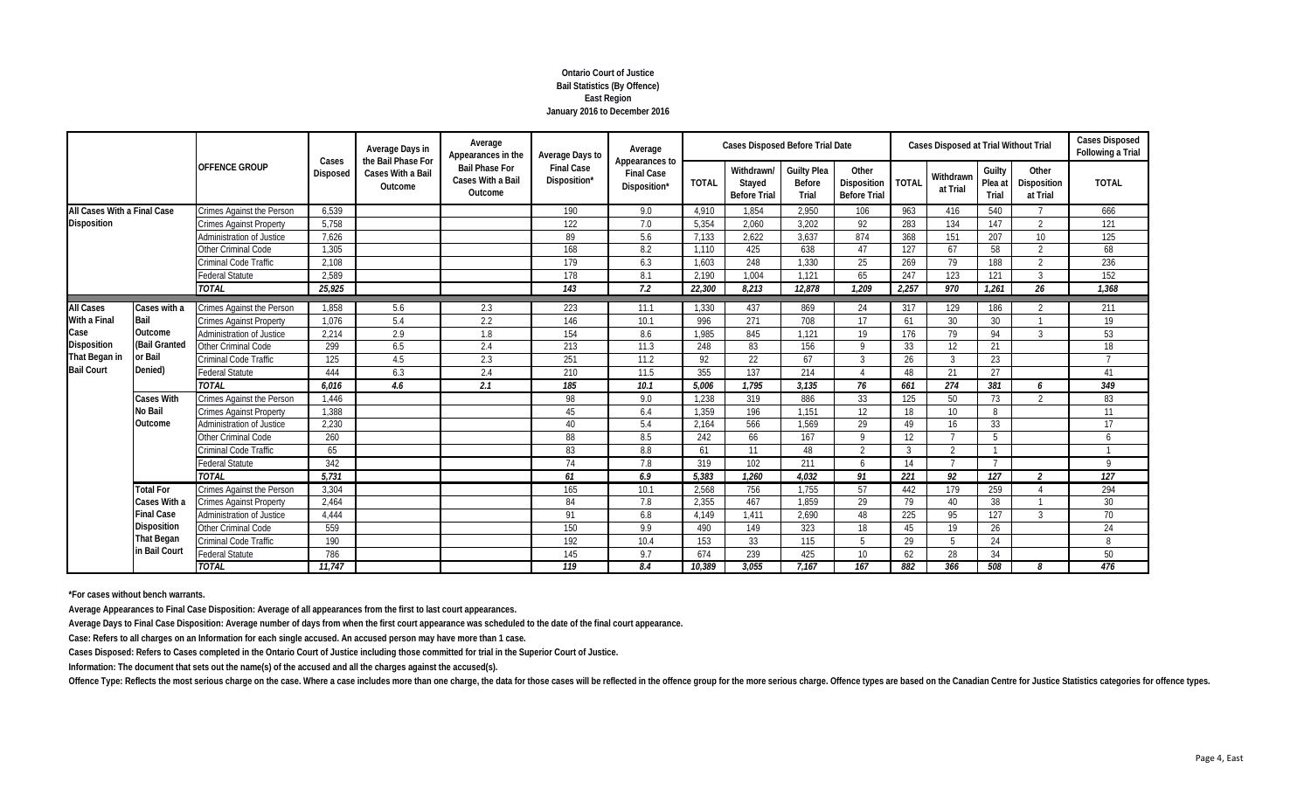## **Ontario Court of Justice Bail Statistics (By Offence) East Region January 2016 to December 2016**

|                             | <b>OFFENCE GROUP</b> |                                  |                   | Average Days in                                    | Average<br>Appearances in the                         | Average Days to                   | Average                                             |              | <b>Cases Disposed Before Trial Date</b>     |                                       |                                             |                  | <b>Cases Disposed at Trial Without Trial</b> |                            |                                  | <b>Cases Disposed</b><br>Following a Trial |
|-----------------------------|----------------------|----------------------------------|-------------------|----------------------------------------------------|-------------------------------------------------------|-----------------------------------|-----------------------------------------------------|--------------|---------------------------------------------|---------------------------------------|---------------------------------------------|------------------|----------------------------------------------|----------------------------|----------------------------------|--------------------------------------------|
|                             |                      |                                  | Cases<br>Disposed | the Bail Phase For<br>Cases With a Bail<br>Outcome | <b>Bail Phase For</b><br>Cases With a Bail<br>Outcome | <b>Final Case</b><br>Disposition* | Appearances to<br><b>Final Case</b><br>Disposition* | <b>TOTAL</b> | Withdrawn/<br>Stayed<br><b>Before Trial</b> | <b>Guilty Plea</b><br>Before<br>Trial | Other<br>Disposition<br><b>Before Trial</b> | <b>TOTAL</b>     | Withdrawn<br>at Trial                        | Guilty<br>Plea at<br>Trial | Other<br>Disposition<br>at Trial | <b>TOTAL</b>                               |
| All Cases With a Final Case |                      | Crimes Against the Person        | 6,539             |                                                    |                                                       | 190                               | 9.0                                                 | 4,910        | 1,854                                       | 2,950                                 | 106                                         | 963              | 416                                          | 540                        |                                  | 666                                        |
| <b>Disposition</b>          |                      | <b>Crimes Against Property</b>   | 5,758             |                                                    |                                                       | 122                               | 7.0                                                 | 5,354        | 2,060                                       | 3,202                                 | 92                                          | 283              | 134                                          | 147                        | $\overline{2}$                   | 121                                        |
|                             |                      | Administration of Justice        | 7,626             |                                                    |                                                       | 89                                | 5.6                                                 | 7.133        | 2,622                                       | 3.637                                 | 874                                         | 368              | 151                                          | 207                        | 10                               | 125                                        |
|                             |                      | Other Criminal Code              | 1,305             |                                                    |                                                       | 168                               | 8.2                                                 | 1,110        | 425                                         | 638                                   | 47                                          | 127              | 67                                           | 58                         | $\overline{2}$                   | 68                                         |
|                             |                      | Criminal Code Traffic            | 2.108             |                                                    |                                                       | 179                               | 6.3                                                 | 1.603        | 248                                         | 1.330                                 | 25                                          | 269              | 79                                           | 188                        | $\overline{2}$                   | 236                                        |
|                             |                      | <b>Federal Statute</b>           | 2.589             |                                                    |                                                       | 178                               | 8.1                                                 | 2.190        | 1.004                                       | 1.121                                 | 65                                          | 247              | 123                                          | 121                        | $\mathcal{R}$                    | 152                                        |
|                             |                      | <b>TOTAL</b>                     | 25,925            |                                                    |                                                       | 143                               | 7.2                                                 | 22,300       | 8.213                                       | 12.878                                | 1.209                                       | 2.257            | 970                                          | 1.261                      | 26                               | 1.368                                      |
| <b>All Cases</b>            | Cases with a         | <b>Crimes Against the Person</b> | 1,858             | 5.6                                                | 2.3                                                   | 223                               | 11.1                                                | 1,330        | 437                                         | 869                                   | 24                                          | 317              | 129                                          | 186                        | $\mathcal{P}$                    | 211                                        |
| With a Final                | Bail                 | <b>Crimes Against Property</b>   | 1.076             | 5.4                                                | 2.2                                                   | 146                               | 10.1                                                | 996          | 271                                         | 708                                   | 17                                          | 61               | 30                                           | 30                         |                                  | 19                                         |
| Case                        | Outcome              | Administration of Justice        | 2,214             | 2.9                                                | 1.8                                                   | 154                               | 8.6                                                 | 1.985        | 845                                         | 1.121                                 | 19                                          | 176              | 79                                           | 94                         | 3                                | 53                                         |
| <b>Disposition</b>          | (Bail Granted        | Other Criminal Code              | 299               | 6.5                                                | 2.4                                                   | 213                               | 11.3                                                | 248          | 83                                          | 156                                   | $\mathsf Q$                                 | 33               | 12                                           | 21                         |                                  | 18                                         |
| That Began in               | or Bail              | Criminal Code Traffic            | 125               | 4.5                                                | 2.3                                                   | 251                               | 11.2                                                | 92           | 22                                          | 67                                    | 3                                           | 26               | 3                                            | 23                         |                                  | $\overline{7}$                             |
| <b>Bail Court</b>           | Denied)              | <b>Federal Statute</b>           | 444               | 6.3                                                | 2.4                                                   | 210                               | 11.5                                                | 355          | 137                                         | 214                                   | $\Lambda$                                   | 48               | 21                                           | 27                         |                                  | 41                                         |
|                             |                      | <b>TOTAL</b>                     | 6.016             | 4.6                                                | 2.1                                                   | 185                               | 10.1                                                | 5.006        | 1.795                                       | 3.135                                 | 76                                          | 661              | 274                                          | 381                        | 6                                | $\overline{349}$                           |
|                             | <b>Cases With</b>    | Crimes Against the Person        | 1,446             |                                                    |                                                       | 98                                | 9.0                                                 | 1,238        | 319                                         | 886                                   | 33                                          | 125              | 50                                           | 73                         | $\mathcal{P}$                    | 83                                         |
|                             | No Bail              | <b>Crimes Against Property</b>   | 1.388             |                                                    |                                                       | 45                                | 6.4                                                 | 1.359        | 196                                         | 1.151                                 | 12                                          | 18               | 10 <sup>°</sup>                              | 8                          |                                  | 11                                         |
|                             | Outcome              | Administration of Justice        | 2,230             |                                                    |                                                       | 40                                | 5.4                                                 | 2,164        | 566                                         | 1,569                                 | 29                                          | 49               | 16                                           | 33                         |                                  | 17                                         |
|                             |                      | Other Criminal Code              | 260               |                                                    |                                                       | 88                                | 8.5                                                 | 242          | 66                                          | 167                                   | $\mathsf Q$                                 | 12               |                                              | 5                          |                                  | 6                                          |
|                             |                      | Criminal Code Traffic            | 65                |                                                    |                                                       | 83                                | 8.8                                                 | 61           | 11                                          | 48                                    | $\overline{2}$                              | $\mathcal{R}$    | ຳ                                            | $\overline{1}$             |                                  |                                            |
|                             |                      | <b>Federal Statute</b>           | 342               |                                                    |                                                       | 74                                | 7.8                                                 | 319          | 102                                         | 211                                   | 6                                           | 14               |                                              | $\overline{7}$             |                                  | $\mathsf{Q}$                               |
|                             |                      | <b>TOTAL</b>                     | 5,731             |                                                    |                                                       | 61                                | 6.9                                                 | 5,383        | 1,260                                       | 4.032                                 | 91                                          | $\overline{221}$ | 92                                           | 127                        | $\overline{\phantom{a}}$         | $\overline{127}$                           |
|                             | <b>Total For</b>     | Crimes Against the Person        | 3,304             |                                                    |                                                       | 165                               | 10.1                                                | 2,568        | 756                                         | 1,755                                 | 57                                          | 442              | 179                                          | 259                        |                                  | 294                                        |
|                             | Cases With a         | <b>Crimes Against Property</b>   | 2,464             |                                                    |                                                       | 84                                | 7.8                                                 | 2,355        | 467                                         | 1,859                                 | 29                                          | 79               | 40                                           | 38                         |                                  | 30                                         |
|                             | <b>Final Case</b>    | Administration of Justice        | 4,444             |                                                    |                                                       | 91                                | 6.8                                                 | 4,149        | 1,411                                       | 2.690                                 | 48                                          | 225              | 95                                           | 127                        | $\mathcal{R}$                    | 70                                         |
|                             | <b>Disposition</b>   | Other Criminal Code              | 559               |                                                    |                                                       | 150                               | 9.9                                                 | 490          | 149                                         | 323                                   | 18                                          | 45               | 19                                           | 26                         |                                  | 24                                         |
|                             | <b>That Began</b>    | Criminal Code Traffic            | 190               |                                                    |                                                       | 192                               | 10.4                                                | 153          | 33                                          | 115                                   | .5                                          | 29               | -5                                           | 24                         |                                  | 8                                          |
|                             | in Bail Court        | <b>Federal Statute</b>           | 786               |                                                    |                                                       | 145                               | 9.7                                                 | 674          | 239                                         | 425                                   | 10 <sup>°</sup>                             | 62               | 28                                           | 34                         |                                  | 50                                         |
|                             |                      | <b>TOTAL</b>                     | 11,747            |                                                    |                                                       | 119                               | 8.4                                                 | 10,389       | 3,055                                       | 7.167                                 | 167                                         | 882              | 366                                          | 508                        | 8                                | 476                                        |

**\*For cases without bench warrants.**

**Average Appearances to Final Case Disposition: Average of all appearances from the first to last court appearances.**

**Average Days to Final Case Disposition: Average number of days from when the first court appearance was scheduled to the date of the final court appearance.**

**Case: Refers to all charges on an Information for each single accused. An accused person may have more than 1 case.**

**Cases Disposed: Refers to Cases completed in the Ontario Court of Justice including those committed for trial in the Superior Court of Justice.**

**Information: The document that sets out the name(s) of the accused and all the charges against the accused(s).**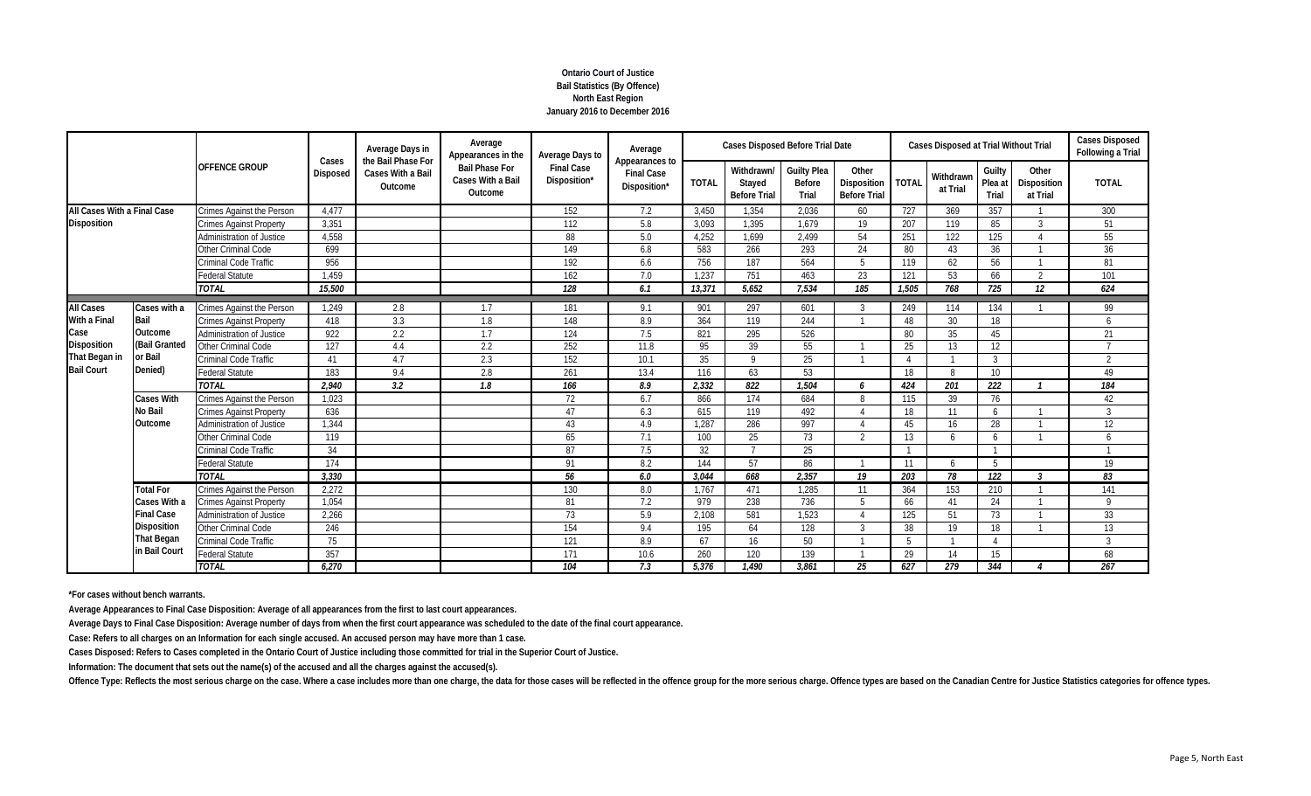# **Ontario Court of Justice Bail Statistics (By Offence) North East Region January 2016 to December 2016**

|                             |                    |                                  | Cases           | Average Days in<br>the Bail Phase For | Average<br>Appearances in the                         | Average Days to                   | Average                                             |              | <b>Cases Disposed Before Trial Date</b>     |                                       |                                             |                 | <b>Cases Disposed at Trial Without Trial</b> |                            |                                  | <b>Cases Disposed</b><br>Following a Trial |
|-----------------------------|--------------------|----------------------------------|-----------------|---------------------------------------|-------------------------------------------------------|-----------------------------------|-----------------------------------------------------|--------------|---------------------------------------------|---------------------------------------|---------------------------------------------|-----------------|----------------------------------------------|----------------------------|----------------------------------|--------------------------------------------|
|                             |                    | <b>OFFENCE GROUP</b>             | <b>Disposed</b> | Cases With a Bail<br>Outcome          | <b>Bail Phase For</b><br>Cases With a Bail<br>Outcome | <b>Final Case</b><br>Disposition* | Appearances to<br><b>Final Case</b><br>Disposition* | <b>TOTAL</b> | Withdrawn/<br>Stayed<br><b>Before Trial</b> | <b>Guilty Plea</b><br>Before<br>Trial | Other<br>Disposition<br><b>Before Trial</b> | <b>TOTAL</b>    | Withdrawn<br>at Trial                        | Guilty<br>Plea at<br>Trial | Other<br>Disposition<br>at Trial | <b>TOTAL</b>                               |
| All Cases With a Final Case |                    | Crimes Against the Person        | 4.477           |                                       |                                                       | 152                               | 7.2                                                 | 3.450        | 1.354                                       | 2.036                                 | 60                                          | 727             | 369                                          | 357                        |                                  | 300                                        |
| <b>Disposition</b>          |                    | <b>Crimes Against Property</b>   | 3,351           |                                       |                                                       | 112                               | 5.8                                                 | 3,093        | 1,395                                       | 1.679                                 | 19                                          | 207             | 119                                          | 85                         | $\mathcal{R}$                    | 51                                         |
|                             |                    | Administration of Justice        | 4,558           |                                       |                                                       | 88                                | 5.0                                                 | 4,252        | 1,699                                       | 2,499                                 | 54                                          | 251             | 122                                          | 125                        |                                  | 55                                         |
|                             |                    | Other Criminal Code              | 699             |                                       |                                                       | 149                               | 6.8                                                 | 583          | 266                                         | 293                                   | 24                                          | 80              | 43                                           | 36                         |                                  | 36                                         |
|                             |                    | Criminal Code Traffic            | 956             |                                       |                                                       | 192                               | 6.6                                                 | 756          | 187                                         | 564                                   | $5^{\circ}$                                 | 119             | 62                                           | 56                         |                                  | 81                                         |
|                             |                    | <b>Federal Statute</b>           | 1,459           |                                       |                                                       | 162                               | 7.0                                                 | 1,237        | 751                                         | 463                                   | 23                                          | 121             | 53                                           | 66                         | $\mathcal{D}$                    | 101                                        |
|                             |                    | <b>TOTAL</b>                     | 15,500          |                                       |                                                       | 128                               | 6.1                                                 | 13,371       | 5.652                                       | 7.534                                 | 185                                         | 1,505           | 768                                          | 725                        | 12                               | 624                                        |
| <b>All Cases</b>            | Cases with a       | <b>Crimes Against the Person</b> | 1.249           | 2.8                                   | 1.7                                                   | 181                               | 9.1                                                 | 901          | 297                                         | 601                                   | 3                                           | 249             | 114                                          | 134                        |                                  | 99                                         |
| With a Final                | Bail               | <b>Crimes Against Property</b>   | 418             | 3.3                                   | 1.8                                                   | 148                               | 8.9                                                 | 364          | 119                                         | 244                                   |                                             | 48              | 30                                           | 18                         |                                  | $\overline{6}$                             |
| Case                        | Outcome            | <b>Administration of Justice</b> | 922             | 2.2                                   | 1.7                                                   | 124                               | 7.5                                                 | 821          | 295                                         | 526                                   |                                             | 80              | 35                                           | 45                         |                                  | 21                                         |
| <b>Disposition</b>          | (Bail Granted      | Other Criminal Code              | 127             | 4.4                                   | 2.2                                                   | 252                               | 11.8                                                | 95           | 39                                          | 55                                    |                                             | 25              | 13                                           | 12                         |                                  | $\overline{ }$                             |
| That Began in               | or Bail            | Criminal Code Traffic            | 41              | 4.7                                   | 2.3                                                   | 152                               | 10.1                                                | 35           | $\Omega$                                    | 25                                    |                                             |                 |                                              | $\mathcal{R}$              |                                  | $\overline{2}$                             |
| <b>Bail Court</b>           | Denied)            | <b>Federal Statute</b>           | 183             | 9.4                                   | 2.8                                                   | 261                               | 13.4                                                | 116          | 63                                          | 53                                    |                                             | 18              | 8                                            | 10 <sup>°</sup>            |                                  | 49                                         |
|                             |                    | <b>TOTAL</b>                     | 2,940           | 3.2                                   | 1.8                                                   | 166                               | 8.9                                                 | 2,332        | 822                                         | 1.504                                 | 6                                           | 424             | 201                                          | 222                        |                                  | 184                                        |
|                             | Cases With         | Crimes Against the Person        | 1,023           |                                       |                                                       | 72                                | 6.7                                                 | 866          | 174                                         | 684                                   | 8                                           | 115             | 39                                           | 76                         |                                  | 42                                         |
|                             | <b>No Bail</b>     | <b>Crimes Against Property</b>   | 636             |                                       |                                                       | 47                                | 6.3                                                 | 615          | 119                                         | 492                                   |                                             | 18              | 11                                           | 6                          |                                  | $\overline{3}$                             |
|                             | Outcome            | Administration of Justice        | 1,344           |                                       |                                                       | 43                                | 4.9                                                 | 1.287        | 286                                         | 997                                   |                                             | 45              | 16                                           | 28                         |                                  | 12                                         |
|                             |                    | Other Criminal Code              | 119             |                                       |                                                       | 65                                | 7.1                                                 | 100          | 25                                          | 73                                    | $\mathfrak{D}$                              | 13              | $\overline{a}$                               | $\sqrt{2}$                 |                                  | 6                                          |
|                             |                    | Criminal Code Traffic            | 34              |                                       |                                                       | 87                                | 7.5                                                 | 32           |                                             | 25                                    |                                             |                 |                                              |                            |                                  |                                            |
|                             |                    | <b>Federal Statute</b>           | 174             |                                       |                                                       | 91                                | 8.2                                                 | 144          | 57                                          | 86                                    |                                             | 11              | 6                                            | 5                          |                                  | 19                                         |
|                             |                    | <b>TOTAL</b>                     | 3.330           |                                       |                                                       | 56                                | 6.0                                                 | 3.044        | 668                                         | 2.357                                 | 19                                          | 203             | 78                                           | $\overline{122}$           | $\overline{\mathbf{3}}$          | 83                                         |
|                             | <b>Total For</b>   | Crimes Against the Person        | 2,272           |                                       |                                                       | 130                               | 8.0                                                 | 1.767        | 471                                         | 1.285                                 | 11                                          | 364             | 153                                          | 210                        |                                  | 141                                        |
|                             | Cases With a       | <b>Crimes Against Property</b>   | 1,054           |                                       |                                                       | 81                                | 7.2                                                 | 979          | 238                                         | 736                                   | .5                                          | 66              | 41                                           | 24                         |                                  | $\mathsf{Q}$                               |
|                             | <b>Final Case</b>  | Administration of Justice        | 2,266           |                                       |                                                       | 73                                | 5.9                                                 | 2,108        | 581                                         | 1,523                                 | $\Lambda$                                   | 125             | 51                                           | 73                         |                                  | 33                                         |
|                             | <b>Disposition</b> | <b>Other Criminal Code</b>       | 246             |                                       |                                                       | 154                               | 9.4                                                 | 195          | 64                                          | 128                                   | 3                                           | 38              | 19                                           | 18                         |                                  | 13                                         |
|                             | <b>That Began</b>  | Criminal Code Traffic            | 75              |                                       |                                                       | 121                               | 8.9                                                 | 67           | 16                                          | 50                                    |                                             | $5\overline{2}$ |                                              | $\boldsymbol{\Lambda}$     |                                  | $\overline{3}$                             |
|                             | in Bail Court      | <b>Federal Statute</b>           | 357             |                                       |                                                       | 171                               | 10.6                                                | 260          | 120                                         | 139                                   |                                             | 29              | 14                                           | 15                         |                                  | 68                                         |
|                             |                    | <b>TOTAL</b>                     | 6.270           |                                       |                                                       | 104                               | 7.3                                                 | 5.376        | 1.490                                       | 3.861                                 | 25                                          | 627             | 279                                          | 344                        |                                  | $\overline{267}$                           |

**\*For cases without bench warrants.**

**Average Appearances to Final Case Disposition: Average of all appearances from the first to last court appearances.**

**Average Days to Final Case Disposition: Average number of days from when the first court appearance was scheduled to the date of the final court appearance.**

**Case: Refers to all charges on an Information for each single accused. An accused person may have more than 1 case.**

**Cases Disposed: Refers to Cases completed in the Ontario Court of Justice including those committed for trial in the Superior Court of Justice.**

**Information: The document that sets out the name(s) of the accused and all the charges against the accused(s).**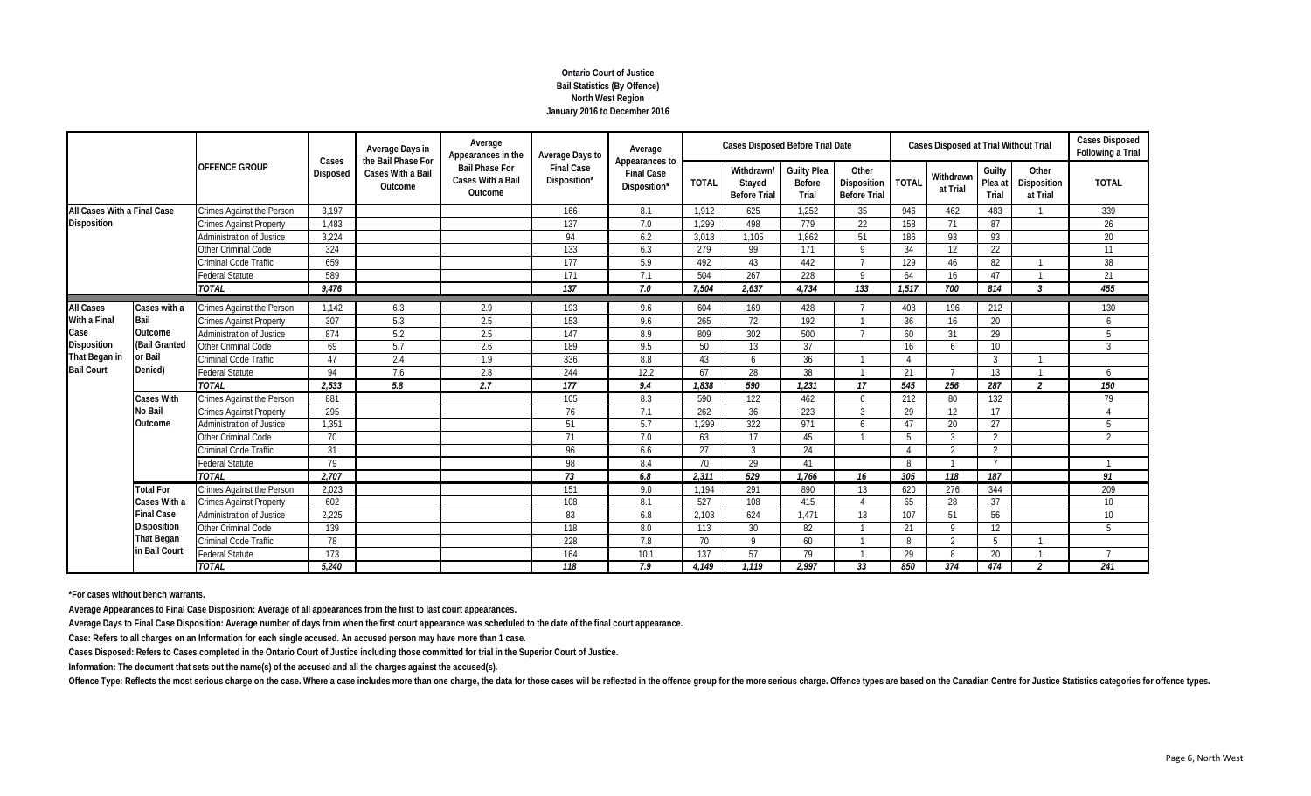# **Ontario Court of Justice Bail Statistics (By Offence) North West Region January 2016 to December 2016**

|                             |                    |                                  | Cases           | Average Days in<br>the Bail Phase For | Average<br>Appearances in the                         | Average Days to                   | Average                                             |              | <b>Cases Disposed Before Trial Date</b>     |                                       |                                                    |              | <b>Cases Disposed at Trial Without Trial</b> |                            |                                  | <b>Cases Disposed</b><br>Following a Trial |
|-----------------------------|--------------------|----------------------------------|-----------------|---------------------------------------|-------------------------------------------------------|-----------------------------------|-----------------------------------------------------|--------------|---------------------------------------------|---------------------------------------|----------------------------------------------------|--------------|----------------------------------------------|----------------------------|----------------------------------|--------------------------------------------|
|                             |                    | <b>OFFENCE GROUP</b>             | <b>Disposed</b> | Cases With a Bail<br>Outcome          | <b>Bail Phase For</b><br>Cases With a Bail<br>Outcome | <b>Final Case</b><br>Disposition* | Appearances to<br><b>Final Case</b><br>Disposition* | <b>TOTAL</b> | Withdrawn/<br>Stayed<br><b>Before Trial</b> | <b>Guilty Plea</b><br>Before<br>Trial | Other<br><b>Disposition</b><br><b>Before Trial</b> | <b>TOTAL</b> | Withdrawn<br>at Trial                        | Guilty<br>Plea at<br>Trial | Other<br>Disposition<br>at Trial | <b>TOTAL</b>                               |
| All Cases With a Final Case |                    | Crimes Against the Person        | 3.197           |                                       |                                                       | 166                               | 8.1                                                 | 1.912        | 625                                         | 1.252                                 | 35                                                 | 946          | 462                                          | 483                        |                                  | 339                                        |
| <b>Disposition</b>          |                    | <b>Crimes Against Property</b>   | 1,483           |                                       |                                                       | 137                               | 7.0                                                 | 1,299        | 498                                         | 779                                   | 22                                                 | 158          | 71                                           | 87                         |                                  | 26                                         |
|                             |                    | Administration of Justice        | 3,224           |                                       |                                                       | 94                                | 6.2                                                 | 3,018        | 1.105                                       | 1.862                                 | 51                                                 | 186          | 93                                           | 93                         |                                  | 20                                         |
|                             |                    | Other Criminal Code              | 324             |                                       |                                                       | 133                               | 6.3                                                 | 279          | 99                                          | 171                                   | $\mathsf{Q}$                                       | 34           | 12                                           | 22                         |                                  | 11                                         |
|                             |                    | <b>Criminal Code Traffic</b>     | 659             |                                       |                                                       | 177                               | 5.9                                                 | 492          | 43                                          | 442                                   |                                                    | 129          | 46                                           | 82                         |                                  | 38                                         |
|                             |                    | <b>Federal Statute</b>           | 589             |                                       |                                                       | 171                               | 7.1                                                 | 504          | 267                                         | 228                                   | $\mathsf Q$                                        | 64           | 16                                           | 47                         |                                  | 21                                         |
|                             |                    | <b>TOTAL</b>                     | 9,476           |                                       |                                                       | 137                               | 7.0                                                 | 7,504        | 2,637                                       | 4.734                                 | 133                                                | 1,517        | 700                                          | 814                        | $\overline{3}$                   | 455                                        |
| <b>All Cases</b>            | Cases with a       | <b>Crimes Against the Person</b> | 1.142           | 6.3                                   | 2.9                                                   | 193                               | 9.6                                                 | 604          | 169                                         | 428                                   |                                                    | 408          | 196                                          | 212                        |                                  | 130                                        |
| With a Final                | Bail               | <b>Crimes Against Property</b>   | 307             | 5.3                                   | 2.5                                                   | 153                               | 9.6                                                 | 265          | 72                                          | 192                                   |                                                    | 36           | 16                                           | 20                         |                                  | 6                                          |
| Case                        | Outcome            | Administration of Justice        | 874             | 5.2                                   | 2.5                                                   | 147                               | 8.9                                                 | 809          | 302                                         | 500                                   |                                                    | 60           | 31                                           | 29                         |                                  | 5                                          |
| <b>Disposition</b>          | (Bail Granted      | Other Criminal Code              | 69              | 5.7                                   | 2.6                                                   | 189                               | 9.5                                                 | 50           | 13                                          | 37                                    |                                                    | 16           | 6                                            | 10 <sup>°</sup>            |                                  | $\overline{3}$                             |
| That Began in               | or Bail            | Criminal Code Traffic            | 47              | 2.4                                   | 1.9                                                   | 336                               | 8.8                                                 | 43           | $\sqrt{2}$                                  | 36                                    |                                                    |              |                                              | $\mathcal{R}$              |                                  |                                            |
| <b>Bail Court</b>           | Denied)            | <b>Federal Statute</b>           | 94              | 7.6                                   | 2.8                                                   | 244                               | 12.2                                                | 67           | 28                                          | 38                                    |                                                    | 21           |                                              | 13                         |                                  | 6                                          |
|                             |                    | <b>TOTAL</b>                     | 2,533           | 5.8                                   | 2.7                                                   | 177                               | 9.4                                                 | 1,838        | 590                                         | 1,231                                 | 17                                                 | 545          | 256                                          | 287                        | $\overline{2}$                   | 150                                        |
|                             | <b>Cases With</b>  | Crimes Against the Person        | 881             |                                       |                                                       | 105                               | 8.3                                                 | 590          | 122                                         | 462                                   | 6                                                  | 212          | 80                                           | 132                        |                                  | 79                                         |
|                             | <b>No Bail</b>     | <b>Crimes Against Property</b>   | 295             |                                       |                                                       | 76                                | 7.1                                                 | 262          | 36                                          | 223                                   | 3                                                  | 29           | 12                                           | 17                         |                                  | $\Delta$                                   |
|                             | Outcome            | <b>Administration of Justice</b> | 1,351           |                                       |                                                       | 51                                | 5.7                                                 | 1.299        | 322                                         | 971                                   | $\overline{6}$                                     | 47           | 20                                           | 27                         |                                  | 5                                          |
|                             |                    | <b>Other Criminal Code</b>       | 70              |                                       |                                                       | 71                                | 7.0                                                 | 63           | 17                                          | 45                                    |                                                    |              | ্ব                                           | $\overline{2}$             |                                  | $\overline{2}$                             |
|                             |                    | Criminal Code Traffic            | 31              |                                       |                                                       | 96                                | 6.6                                                 | 27           | ्र                                          | 24                                    |                                                    |              | $\gamma$                                     | 2                          |                                  |                                            |
|                             |                    | <b>Federal Statute</b>           | 79              |                                       |                                                       | 98                                | 8.4                                                 | 70           | 29                                          | 41                                    |                                                    | 8            |                                              | $\overline{7}$             |                                  |                                            |
|                             |                    | <b>TOTAL</b>                     | 2.707           |                                       |                                                       | $\overline{73}$                   | 6.8                                                 | 2,311        | 529                                         | 1.766                                 | 16                                                 | 305          | 118                                          | 187                        |                                  | 91                                         |
|                             | <b>Total For</b>   | Crimes Against the Person        | 2,023           |                                       |                                                       | 151                               | 9.0                                                 | 1,194        | 291                                         | 890                                   | 13                                                 | 620          | 276                                          | 344                        |                                  | 209                                        |
|                             | Cases With a       | <b>Crimes Against Property</b>   | 602             |                                       |                                                       | 108                               | 8.1                                                 | 527          | 108                                         | 415                                   |                                                    | 65           | 28                                           | 37                         |                                  | 10 <sup>°</sup>                            |
|                             | <b>Final Case</b>  | Administration of Justice        | 2,225           |                                       |                                                       | 83                                | 6.8                                                 | 2,108        | 624                                         | 1,471                                 | 13                                                 | 107          | 51                                           | 56                         |                                  | 10 <sup>°</sup>                            |
|                             | <b>Disposition</b> | Other Criminal Code              | 139             |                                       |                                                       | 118                               | 8.0                                                 | 113          | 30                                          | 82                                    |                                                    | 21           | $\mathsf Q$                                  | 12                         |                                  | 5                                          |
|                             | <b>That Began</b>  | Criminal Code Traffic            | 78              |                                       |                                                       | 228                               | 7.8                                                 | 70           | $\Omega$                                    | 60                                    |                                                    | 8            | $\overline{2}$                               | .5                         |                                  |                                            |
|                             | in Bail Court      | <b>Federal Statute</b>           | 173             |                                       |                                                       | 164                               | 10.1                                                | 137          | 57                                          | 79                                    |                                                    | 29           | 8                                            | 20                         |                                  | $\mathbf{z}$                               |
|                             |                    | <b>TOTAL</b>                     | 5,240           |                                       |                                                       | 118                               | 7.9                                                 | 4.149        | 1.119                                       | 2.997                                 | 33                                                 | 850          | $\overline{374}$                             | 474                        | $\overline{\phantom{a}}$         | 241                                        |

**\*For cases without bench warrants.**

**Average Appearances to Final Case Disposition: Average of all appearances from the first to last court appearances.**

**Average Days to Final Case Disposition: Average number of days from when the first court appearance was scheduled to the date of the final court appearance.**

**Case: Refers to all charges on an Information for each single accused. An accused person may have more than 1 case.**

**Cases Disposed: Refers to Cases completed in the Ontario Court of Justice including those committed for trial in the Superior Court of Justice.**

**Information: The document that sets out the name(s) of the accused and all the charges against the accused(s).**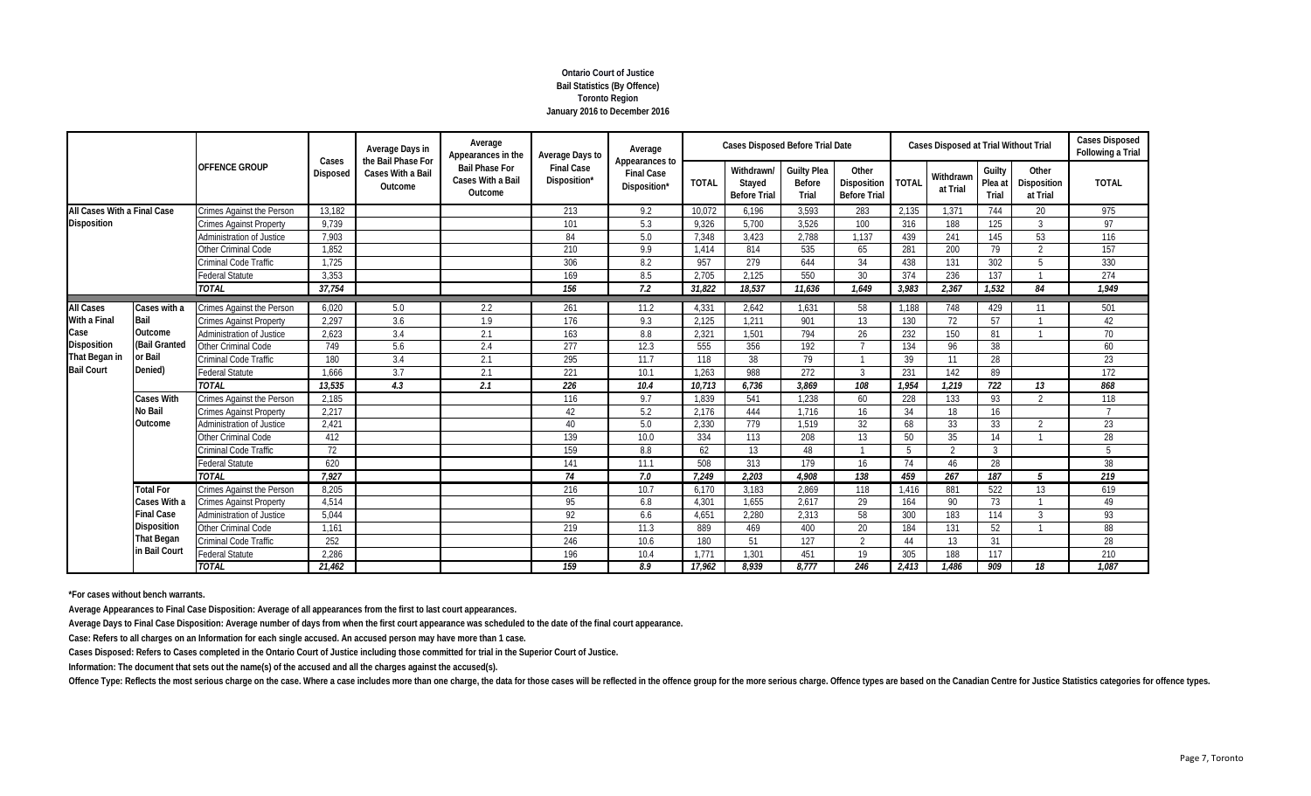# **Ontario Court of Justice Bail Statistics (By Offence) Toronto Region January 2016 to December 2016**

|                                     |                          | <b>OFFENCE GROUP</b>             |                   | Average Days in<br>the Bail Phase For | Average<br>Appearances in the                         | Average Days to                   | Average                                             |              | <b>Cases Disposed Before Trial Date</b>     |                                       |                                             |              | <b>Cases Disposed at Trial Without Trial</b> |                            |                                  | <b>Cases Disposed</b><br>Following a Trial |
|-------------------------------------|--------------------------|----------------------------------|-------------------|---------------------------------------|-------------------------------------------------------|-----------------------------------|-----------------------------------------------------|--------------|---------------------------------------------|---------------------------------------|---------------------------------------------|--------------|----------------------------------------------|----------------------------|----------------------------------|--------------------------------------------|
|                                     |                          |                                  | Cases<br>Disposed | Cases With a Bail<br>Outcome          | <b>Bail Phase For</b><br>Cases With a Bail<br>Outcome | <b>Final Case</b><br>Disposition* | Appearances to<br><b>Final Case</b><br>Disposition* | <b>TOTAL</b> | Withdrawn/<br>Stayed<br><b>Before Trial</b> | <b>Guilty Plea</b><br>Before<br>Trial | Other<br>Disposition<br><b>Before Trial</b> | <b>TOTAL</b> | Withdrawn<br>at Trial                        | Guilty<br>Plea at<br>Trial | Other<br>Disposition<br>at Trial | <b>TOTAL</b>                               |
| All Cases With a Final Case         |                          | Crimes Against the Person        | 13,182            |                                       |                                                       | 213                               | 9.2                                                 | 10,072       | 6,196                                       | 3.593                                 | 283                                         | 2,135        | 1,371                                        | 744                        | 20                               | 975                                        |
| <b>Disposition</b>                  |                          | <b>Crimes Against Property</b>   | 9,739             |                                       |                                                       | 101                               | 5.3                                                 | 9.326        | 5.700                                       | 3.526                                 | 100                                         | 316          | 188                                          | 125                        | -3                               | 97                                         |
|                                     |                          | Administration of Justice        | 7,903             |                                       |                                                       | 84                                | 5.0                                                 | 7,348        | 3,423                                       | 2,788                                 | 1.137                                       | 439          | 241                                          | 145                        | 53                               | 116                                        |
|                                     |                          | Other Criminal Code              | 1,852             |                                       |                                                       | 210                               | 9.9                                                 | 1,414        | 814                                         | 535                                   | 65                                          | 281          | 200                                          | 79                         | $\overline{2}$                   | 157                                        |
|                                     |                          | Criminal Code Traffic            | 1,725             |                                       |                                                       | 306                               | 8.2                                                 | 957          | 279                                         | 644                                   | 34                                          | 438          | 131                                          | 302                        | 5                                | 330                                        |
|                                     |                          | Federal Statute                  | 3,353             |                                       |                                                       | 169                               | 8.5                                                 | 2.705        | 2.125                                       | 550                                   | 30                                          | 374          | 236                                          | 137                        |                                  | 274                                        |
|                                     |                          | <b>TOTAL</b>                     | 37,754            |                                       |                                                       | 156                               | 7.2                                                 | 31,822       | 18.537                                      | 11,636                                | 1.649                                       | 3,983        | 2,367                                        | 1,532                      | 84                               | 1,949                                      |
| <b>All Cases</b>                    | Cases with a             | <b>Crimes Against the Person</b> | 6,020             | 5.0                                   | 2.2                                                   | 261                               | 11.2                                                | 4,331        | 2.642                                       | 1.631                                 | 58                                          | 1,188        | 748                                          | 429                        | 11                               | 501                                        |
| With a Final                        | Bail                     | <b>Crimes Against Property</b>   | 2,297             | 3.6                                   | 1.9                                                   | 176                               | 9.3                                                 | 2,125        | 1.211                                       | 901                                   | 13                                          | 130          | 72                                           | 57                         |                                  | 42                                         |
| Case                                | Outcome                  | <b>Administration of Justice</b> | 2,623             | 3.4                                   | 2.1                                                   | 163                               | 8.8                                                 | 2,321        | 1.501                                       | 794                                   | 26                                          | 232          | 150                                          | 81                         |                                  | 70                                         |
| <b>Disposition</b><br>That Began in | (Bail Granted<br>or Bail | <b>Other Criminal Code</b>       | 749               | 5.6                                   | 2.4                                                   | 277                               | 12.3                                                | 555          | 356                                         | 192                                   |                                             | 134          | 96                                           | 38                         |                                  | 60                                         |
|                                     |                          | Criminal Code Traffic            | 180               | 3.4                                   | 2.1                                                   | 295                               | 11.7                                                | 118          | 38                                          | 79                                    |                                             | 39           | 11                                           | 28                         |                                  | 23                                         |
| <b>Bail Court</b>                   | Denied)                  | <b>Federal Statute</b>           | 1.666             | 3.7                                   | 2.1                                                   | 221                               | 10.1                                                | 1.263        | 988                                         | 272                                   | $\mathcal{R}$                               | 231          | 142                                          | 89                         |                                  | 172                                        |
|                                     |                          | <b>TOTAL</b>                     | 13,535            | 4.3                                   | 2.1                                                   | 226                               | 10.4                                                | 10,713       | 6,736                                       | 3.869                                 | 108                                         | 1,954        | 1,219                                        | 722                        | 13                               | 868                                        |
|                                     | <b>Cases With</b>        | Crimes Against the Person        | 2,185             |                                       |                                                       | 116                               | 9.7                                                 | 1,839        | 541                                         | 1,238                                 | 60                                          | 228          | 133                                          | 93                         | $\mathcal{P}$                    | 118                                        |
|                                     | No Bail                  | <b>Crimes Against Property</b>   | 2.217             |                                       |                                                       | 42                                | 5.2                                                 | 2.176        | 444                                         | 1.716                                 | 16                                          | 34           | 18                                           | 16                         |                                  |                                            |
|                                     | Outcome                  | Administration of Justice        | 2,421             |                                       |                                                       | 40                                | 5.0                                                 | 2,330        | 779                                         | 1,519                                 | 32                                          | 68           | 33                                           | 33                         | $\overline{\phantom{a}}$         | 23                                         |
|                                     |                          | Other Criminal Code              | 412               |                                       |                                                       | 139                               | 10.0                                                | 334          | 113                                         | 208                                   | 13                                          | 50           | 35                                           | 14                         |                                  | 28                                         |
|                                     |                          | Criminal Code Traffic            | 72                |                                       |                                                       | 159                               | 8.8                                                 | 62           | 13                                          | 48                                    |                                             | -5           | $\overline{2}$                               | $\overline{3}$             |                                  | 5                                          |
|                                     |                          | <b>Federal Statute</b>           | 620               |                                       |                                                       | 141                               | 11.1                                                | 508          | 313                                         | 179                                   | 16                                          | 74           | 46                                           | 28                         |                                  | 38                                         |
|                                     |                          | <b>TOTAL</b>                     | 7,927             |                                       |                                                       | 74                                | 7.0                                                 | 7,249        | 2.203                                       | 4.908                                 | $\overline{138}$                            | 459          | $\overline{267}$                             | $\overline{187}$           | .5                               | $\overline{219}$                           |
|                                     | <b>Total For</b>         | Crimes Against the Person        | 8,205             |                                       |                                                       | 216                               | 10.7                                                | 6,170        | 3,183                                       | 2,869                                 | 118                                         | 1,416        | 881                                          | 522                        | 13                               | 619                                        |
|                                     | Cases With a             | <b>Crimes Against Property</b>   | 4,514             |                                       |                                                       | 95                                | 6.8                                                 | 4,301        | 1,655                                       | 2,617                                 | 29                                          | 164          | 90                                           | 73                         |                                  | 49                                         |
|                                     | <b>Final Case</b>        | Administration of Justice        | 5,044             |                                       |                                                       | 92                                | 6.6                                                 | 4,651        | 2.280                                       | 2.313                                 | 58                                          | 300          | 183                                          | 114                        | 3                                | 93                                         |
|                                     | <b>Disposition</b>       | Other Criminal Code              | 1,161             |                                       |                                                       | 219                               | 11.3                                                | 889          | 469                                         | 400                                   | 20                                          | 184          | 131                                          | 52                         |                                  | 88                                         |
|                                     | That Began               | Criminal Code Traffic            | 252               |                                       |                                                       | 246                               | 10.6                                                | 180          | 51                                          | 127                                   | 2                                           | 44           | 13                                           | 31                         |                                  | 28                                         |
|                                     | in Bail Court            | <b>Federal Statute</b>           | 2,286             |                                       |                                                       | 196                               | 10.4                                                | 1.771        | 1.301                                       | 451                                   | 19                                          | 305          | 188                                          | 117                        |                                  | 210                                        |
|                                     |                          | <b>TOTAL</b>                     | 21,462            |                                       |                                                       | 159                               | 8.9                                                 | 17,962       | 8.939                                       | 8.777                                 | 246                                         | 2,413        | 1.486                                        | 909                        | 18                               | 1.087                                      |

**\*For cases without bench warrants.**

**Average Appearances to Final Case Disposition: Average of all appearances from the first to last court appearances.**

**Average Days to Final Case Disposition: Average number of days from when the first court appearance was scheduled to the date of the final court appearance.**

**Case: Refers to all charges on an Information for each single accused. An accused person may have more than 1 case.**

**Cases Disposed: Refers to Cases completed in the Ontario Court of Justice including those committed for trial in the Superior Court of Justice.**

**Information: The document that sets out the name(s) of the accused and all the charges against the accused(s).**